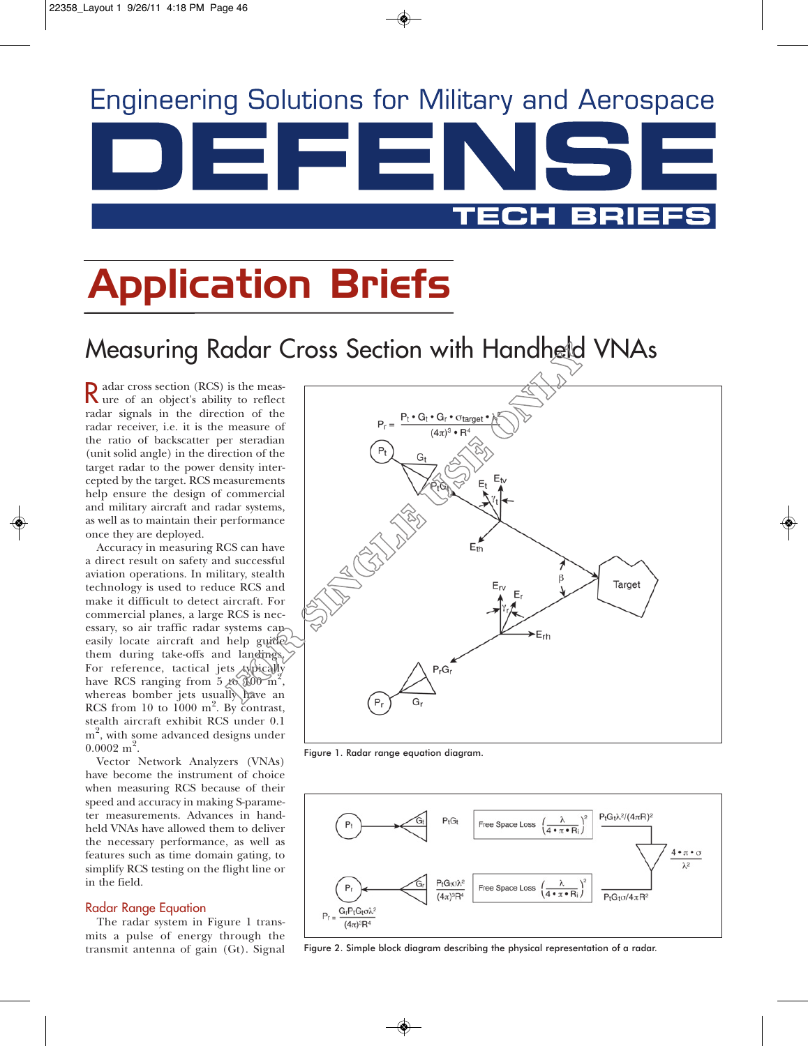

## Application Briefs

## Measuring Radar Cross Section with Handheld VNAs

Radar cross section (RCS) is the meas-ure of an object's ability to reflect radar signals in the direction of the radar receiver, i.e. it is the measure of the ratio of backscatter per steradian (unit solid angle) in the direction of the target radar to the power density intercepted by the target. RCS measurements help ensure the design of commercial and military aircraft and radar systems, as well as to maintain their performance once they are deployed.

Accuracy in measuring RCS can have a direct result on safety and successful aviation operations. In military, stealth technology is used to reduce RCS and make it difficult to detect aircraft. For commercial planes, a large RCS is necessary, so air traffic radar systems can easily locate aircraft and help guide them during take-offs and landings. For reference, tactical jets typically have RCS ranging from 5 to  $100 \text{ m}^2$ , whereas bomber jets usually have an RCS from 10 to  $1000 \text{ m}^2$ . By contrast, stealth aircraft exhibit RCS under 0.1  $\mathrm{m}^2$ , with some advanced designs under  $0.0002 \; \mathrm{m}^2$ .

Vector Network Analyzers (VNAs) have become the instrument of choice when measuring RCS because of their speed and accuracy in making S-parameter measurements. Advances in handheld VNAs have allowed them to deliver the necessary performance, as well as features such as time domain gating, to simplify RCS testing on the flight line or in the field.

#### Radar Range Equation

The radar system in Figure 1 transmits a pulse of energy through the transmit antenna of gain (Gt). Signal



Figure 1. Radar range equation diagram.



Figure 2. Simple block diagram describing the physical representation of a radar.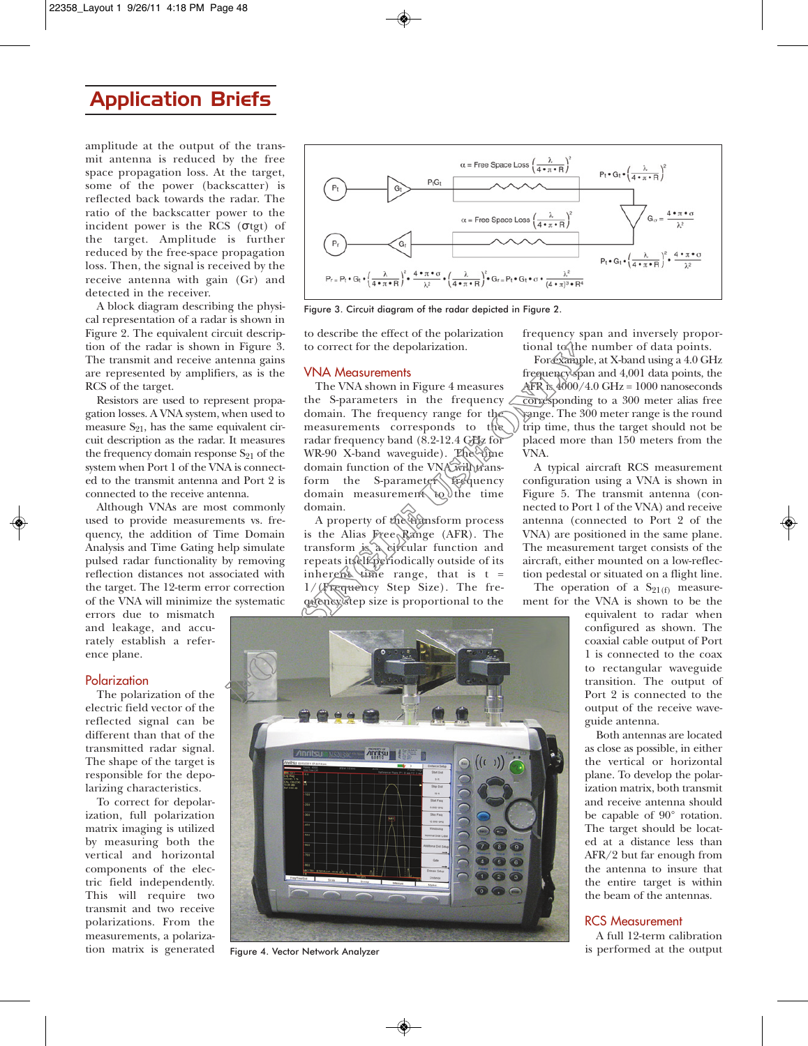### Application Briefs

amplitude at the output of the transmit antenna is reduced by the free space propagation loss. At the target, some of the power (backscatter) is reflected back towards the radar. The ratio of the backscatter power to the incident power is the RCS ( $\sigma$ tgt) of the target. Amplitude is further reduced by the free-space propagation loss. Then, the signal is received by the receive antenna with gain (Gr) and detected in the receiver.

A block diagram describing the physical representation of a radar is shown in Figure 2. The equivalent circuit description of the radar is shown in Figure 3. The transmit and receive antenna gains are represented by amplifiers, as is the RCS of the target.

Resistors are used to represent propagation losses. A VNA system, when used to measure  $S_{21}$ , has the same equivalent circuit description as the radar. It measures the frequency domain response  $S_{21}$  of the system when Port 1 of the VNA is connected to the transmit antenna and Port 2 is connected to the receive antenna.

Although VNAs are most commonly used to provide measurements vs. frequency, the addition of Time Domain Analysis and Time Gating help simulate pulsed radar functionality by removing reflection distances not associated with the target. The 12-term error correction of the VNA will minimize the systematic

errors due to mismatch and leakage, and accurately establish a reference plane.

#### Polarization

The polarization of the electric field vector of the reflected signal can be different than that of the transmitted radar signal. The shape of the target is responsible for the depolarizing characteristics.

To correct for depolarization, full polarization matrix imaging is utilized by measuring both the vertical and horizontal components of the electric field independently. This will require two transmit and two receive polarizations. From the measurements, a polarization matrix is generated



Figure 3. Circuit diagram of the radar depicted in Figure 2.

to describe the effect of the polarization to correct for the depolarization.

#### VNA Measurements

The VNA shown in Figure 4 measures the S-parameters in the frequency domain. The frequency range for the measurements corresponds to the radar frequency band (8.2-12.4 GHz for WR-90 X-band waveguide). The time domain function of the VNA will transform the S-parameter frequency domain measurement to the time domain.

A property of the transform process is the Alias Free Range (AFR). The transform is a circular function and repeats itself periodically outside of its inherent time range, that is  $t =$ 1/(Frequency Step Size). The frequency step size is proportional to the frequency span and inversely proportional to the number of data points.

For example, at X-band using a 4.0 GHz frequency span and 4,001 data points, the AFR is  $4000/4.0$  GHz =  $1000$  nanoseconds corresponding to a 300 meter alias free range. The 300 meter range is the round trip time, thus the target should not be placed more than 150 meters from the VNA.

A typical aircraft RCS measurement configuration using a VNA is shown in Figure 5. The transmit antenna (connected to Port 1 of the VNA) and receive antenna (connected to Port 2 of the VNA) are positioned in the same plane. The measurement target consists of the aircraft, either mounted on a low-reflection pedestal or situated on a flight line.

The operation of a  $S_{21(f)}$  measurement for the VNA is shown to be the

> equivalent to radar when configured as shown. The coaxial cable output of Port 1 is connected to the coax to rectangular waveguide transition. The output of Port 2 is connected to the output of the receive waveguide antenna.

> Both antennas are located as close as possible, in either the vertical or horizontal plane. To develop the polarization matrix, both transmit and receive antenna should be capable of 90° rotation. The target should be located at a distance less than AFR/2 but far enough from the antenna to insure that the entire target is within the beam of the antennas.

#### RCS Measurement

A full 12-term calibration Figure 4. Vector Network Analyzer is performed at the output